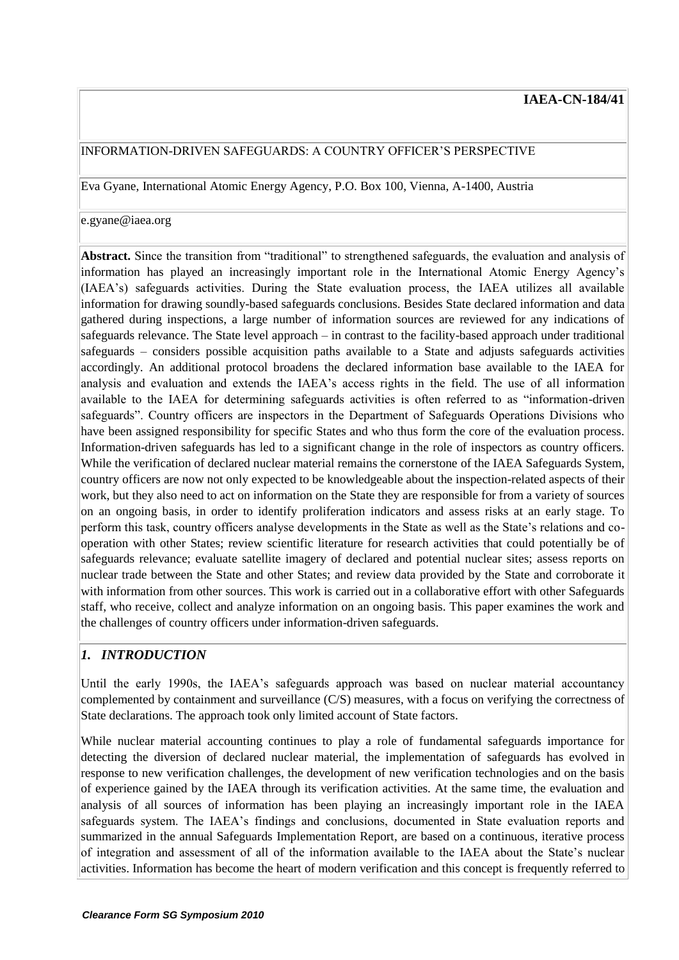#### INFORMATION-DRIVEN SAFEGUARDS: A COUNTRY OFFICER'S PERSPECTIVE

Eva Gyane, International Atomic Energy Agency, P.O. Box 100, Vienna, A-1400, Austria

#### e.gyane@iaea.org

**Abstract.** Since the transition from "traditional" to strengthened safeguards, the evaluation and analysis of information has played an increasingly important role in the International Atomic Energy Agency's (IAEA's) safeguards activities. During the State evaluation process, the IAEA utilizes all available information for drawing soundly-based safeguards conclusions. Besides State declared information and data gathered during inspections, a large number of information sources are reviewed for any indications of safeguards relevance. The State level approach – in contrast to the facility-based approach under traditional safeguards – considers possible acquisition paths available to a State and adjusts safeguards activities accordingly. An additional protocol broadens the declared information base available to the IAEA for analysis and evaluation and extends the IAEA's access rights in the field. The use of all information available to the IAEA for determining safeguards activities is often referred to as "information-driven safeguards". Country officers are inspectors in the Department of Safeguards Operations Divisions who have been assigned responsibility for specific States and who thus form the core of the evaluation process. Information-driven safeguards has led to a significant change in the role of inspectors as country officers. While the verification of declared nuclear material remains the cornerstone of the IAEA Safeguards System, country officers are now not only expected to be knowledgeable about the inspection-related aspects of their work, but they also need to act on information on the State they are responsible for from a variety of sources on an ongoing basis, in order to identify proliferation indicators and assess risks at an early stage. To perform this task, country officers analyse developments in the State as well as the State's relations and cooperation with other States; review scientific literature for research activities that could potentially be of safeguards relevance; evaluate satellite imagery of declared and potential nuclear sites; assess reports on nuclear trade between the State and other States; and review data provided by the State and corroborate it with information from other sources. This work is carried out in a collaborative effort with other Safeguards staff, who receive, collect and analyze information on an ongoing basis. This paper examines the work and the challenges of country officers under information-driven safeguards.

### *1. INTRODUCTION*

Until the early 1990s, the IAEA's safeguards approach was based on nuclear material accountancy complemented by containment and surveillance (C/S) measures, with a focus on verifying the correctness of State declarations. The approach took only limited account of State factors.

While nuclear material accounting continues to play a role of fundamental safeguards importance for detecting the diversion of declared nuclear material, the implementation of safeguards has evolved in response to new verification challenges, the development of new verification technologies and on the basis of experience gained by the IAEA through its verification activities. At the same time, the evaluation and analysis of all sources of information has been playing an increasingly important role in the IAEA safeguards system. The IAEA's findings and conclusions, documented in State evaluation reports and summarized in the annual Safeguards Implementation Report, are based on a continuous, iterative process of integration and assessment of all of the information available to the IAEA about the State's nuclear activities. Information has become the heart of modern verification and this concept is frequently referred to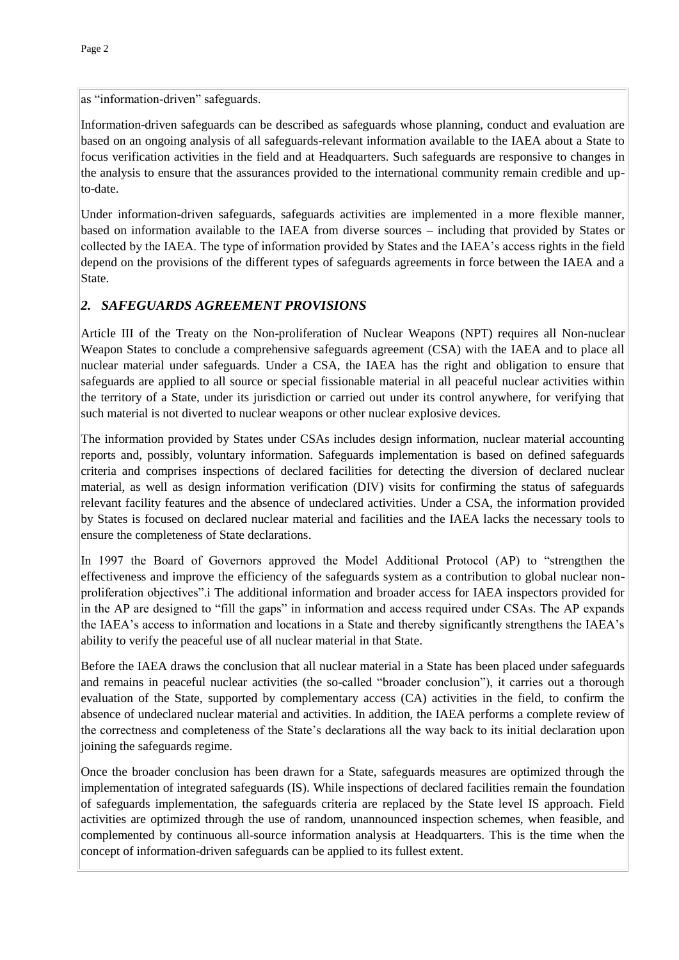as "information-driven" safeguards.

Information-driven safeguards can be described as safeguards whose planning, conduct and evaluation are based on an ongoing analysis of all safeguards-relevant information available to the IAEA about a State to focus verification activities in the field and at Headquarters. Such safeguards are responsive to changes in the analysis to ensure that the assurances provided to the international community remain credible and upto-date.

Under information-driven safeguards, safeguards activities are implemented in a more flexible manner, based on information available to the IAEA from diverse sources – including that provided by States or collected by the IAEA. The type of information provided by States and the IAEA's access rights in the field depend on the provisions of the different types of safeguards agreements in force between the IAEA and a State.

### *2. SAFEGUARDS AGREEMENT PROVISIONS*

Article III of the Treaty on the Non-proliferation of Nuclear Weapons (NPT) requires all Non-nuclear Weapon States to conclude a comprehensive safeguards agreement (CSA) with the IAEA and to place all nuclear material under safeguards. Under a CSA, the IAEA has the right and obligation to ensure that safeguards are applied to all source or special fissionable material in all peaceful nuclear activities within the territory of a State, under its jurisdiction or carried out under its control anywhere, for verifying that such material is not diverted to nuclear weapons or other nuclear explosive devices.

The information provided by States under CSAs includes design information, nuclear material accounting reports and, possibly, voluntary information. Safeguards implementation is based on defined safeguards criteria and comprises inspections of declared facilities for detecting the diversion of declared nuclear material, as well as design information verification (DIV) visits for confirming the status of safeguards relevant facility features and the absence of undeclared activities. Under a CSA, the information provided by States is focused on declared nuclear material and facilities and the IAEA lacks the necessary tools to ensure the completeness of State declarations.

In 1997 the Board of Governors approved the Model Additional Protocol (AP) to "strengthen the effectiveness and improve the efficiency of the safeguards system as a contribution to global nuclear nonproliferation objectives".i The additional information and broader access for IAEA inspectors provided for in the AP are designed to "fill the gaps" in information and access required under CSAs. The AP expands the IAEA's access to information and locations in a State and thereby significantly strengthens the IAEA's ability to verify the peaceful use of all nuclear material in that State.

Before the IAEA draws the conclusion that all nuclear material in a State has been placed under safeguards and remains in peaceful nuclear activities (the so-called "broader conclusion"), it carries out a thorough evaluation of the State, supported by complementary access (CA) activities in the field, to confirm the absence of undeclared nuclear material and activities. In addition, the IAEA performs a complete review of the correctness and completeness of the State's declarations all the way back to its initial declaration upon joining the safeguards regime.

Once the broader conclusion has been drawn for a State, safeguards measures are optimized through the implementation of integrated safeguards (IS). While inspections of declared facilities remain the foundation of safeguards implementation, the safeguards criteria are replaced by the State level IS approach. Field activities are optimized through the use of random, unannounced inspection schemes, when feasible, and complemented by continuous all-source information analysis at Headquarters. This is the time when the concept of information-driven safeguards can be applied to its fullest extent.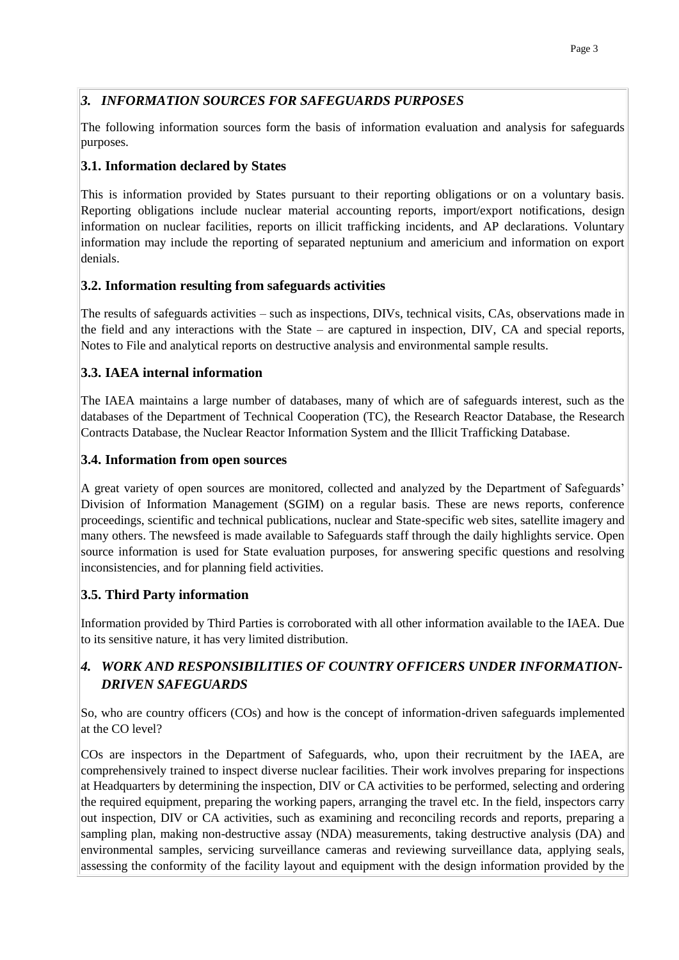# *3. INFORMATION SOURCES FOR SAFEGUARDS PURPOSES*

The following information sources form the basis of information evaluation and analysis for safeguards purposes.

#### **3.1. Information declared by States**

This is information provided by States pursuant to their reporting obligations or on a voluntary basis. Reporting obligations include nuclear material accounting reports, import/export notifications, design information on nuclear facilities, reports on illicit trafficking incidents, and AP declarations. Voluntary information may include the reporting of separated neptunium and americium and information on export denials.

#### **3.2. Information resulting from safeguards activities**

The results of safeguards activities – such as inspections, DIVs, technical visits, CAs, observations made in the field and any interactions with the State – are captured in inspection, DIV, CA and special reports, Notes to File and analytical reports on destructive analysis and environmental sample results.

### **3.3. IAEA internal information**

The IAEA maintains a large number of databases, many of which are of safeguards interest, such as the databases of the Department of Technical Cooperation (TC), the Research Reactor Database, the Research Contracts Database, the Nuclear Reactor Information System and the Illicit Trafficking Database.

#### **3.4. Information from open sources**

A great variety of open sources are monitored, collected and analyzed by the Department of Safeguards' Division of Information Management (SGIM) on a regular basis. These are news reports, conference proceedings, scientific and technical publications, nuclear and State-specific web sites, satellite imagery and many others. The newsfeed is made available to Safeguards staff through the daily highlights service. Open source information is used for State evaluation purposes, for answering specific questions and resolving inconsistencies, and for planning field activities.

### **3.5. Third Party information**

Information provided by Third Parties is corroborated with all other information available to the IAEA. Due to its sensitive nature, it has very limited distribution.

# *4. WORK AND RESPONSIBILITIES OF COUNTRY OFFICERS UNDER INFORMATION-DRIVEN SAFEGUARDS*

So, who are country officers (COs) and how is the concept of information-driven safeguards implemented at the CO level?

COs are inspectors in the Department of Safeguards, who, upon their recruitment by the IAEA, are comprehensively trained to inspect diverse nuclear facilities. Their work involves preparing for inspections at Headquarters by determining the inspection, DIV or CA activities to be performed, selecting and ordering the required equipment, preparing the working papers, arranging the travel etc. In the field, inspectors carry out inspection, DIV or CA activities, such as examining and reconciling records and reports, preparing a sampling plan, making non-destructive assay (NDA) measurements, taking destructive analysis (DA) and environmental samples, servicing surveillance cameras and reviewing surveillance data, applying seals, assessing the conformity of the facility layout and equipment with the design information provided by the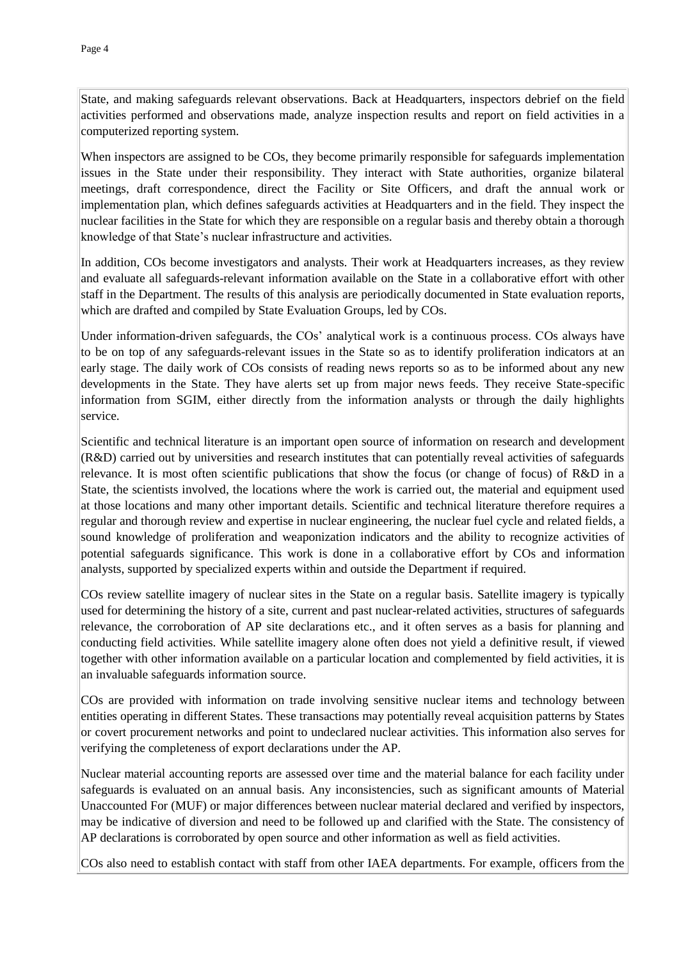State, and making safeguards relevant observations. Back at Headquarters, inspectors debrief on the field activities performed and observations made, analyze inspection results and report on field activities in a computerized reporting system.

When inspectors are assigned to be COs, they become primarily responsible for safeguards implementation issues in the State under their responsibility. They interact with State authorities, organize bilateral meetings, draft correspondence, direct the Facility or Site Officers, and draft the annual work or implementation plan, which defines safeguards activities at Headquarters and in the field. They inspect the nuclear facilities in the State for which they are responsible on a regular basis and thereby obtain a thorough knowledge of that State's nuclear infrastructure and activities.

In addition, COs become investigators and analysts. Their work at Headquarters increases, as they review and evaluate all safeguards-relevant information available on the State in a collaborative effort with other staff in the Department. The results of this analysis are periodically documented in State evaluation reports, which are drafted and compiled by State Evaluation Groups, led by COs.

Under information-driven safeguards, the COs' analytical work is a continuous process. COs always have to be on top of any safeguards-relevant issues in the State so as to identify proliferation indicators at an early stage. The daily work of COs consists of reading news reports so as to be informed about any new developments in the State. They have alerts set up from major news feeds. They receive State-specific information from SGIM, either directly from the information analysts or through the daily highlights service.

Scientific and technical literature is an important open source of information on research and development (R&D) carried out by universities and research institutes that can potentially reveal activities of safeguards relevance. It is most often scientific publications that show the focus (or change of focus) of R&D in a State, the scientists involved, the locations where the work is carried out, the material and equipment used at those locations and many other important details. Scientific and technical literature therefore requires a regular and thorough review and expertise in nuclear engineering, the nuclear fuel cycle and related fields, a sound knowledge of proliferation and weaponization indicators and the ability to recognize activities of potential safeguards significance. This work is done in a collaborative effort by COs and information analysts, supported by specialized experts within and outside the Department if required.

COs review satellite imagery of nuclear sites in the State on a regular basis. Satellite imagery is typically used for determining the history of a site, current and past nuclear-related activities, structures of safeguards relevance, the corroboration of AP site declarations etc., and it often serves as a basis for planning and conducting field activities. While satellite imagery alone often does not yield a definitive result, if viewed together with other information available on a particular location and complemented by field activities, it is an invaluable safeguards information source.

COs are provided with information on trade involving sensitive nuclear items and technology between entities operating in different States. These transactions may potentially reveal acquisition patterns by States or covert procurement networks and point to undeclared nuclear activities. This information also serves for verifying the completeness of export declarations under the AP.

Nuclear material accounting reports are assessed over time and the material balance for each facility under safeguards is evaluated on an annual basis. Any inconsistencies, such as significant amounts of Material Unaccounted For (MUF) or major differences between nuclear material declared and verified by inspectors, may be indicative of diversion and need to be followed up and clarified with the State. The consistency of AP declarations is corroborated by open source and other information as well as field activities.

COs also need to establish contact with staff from other IAEA departments. For example, officers from the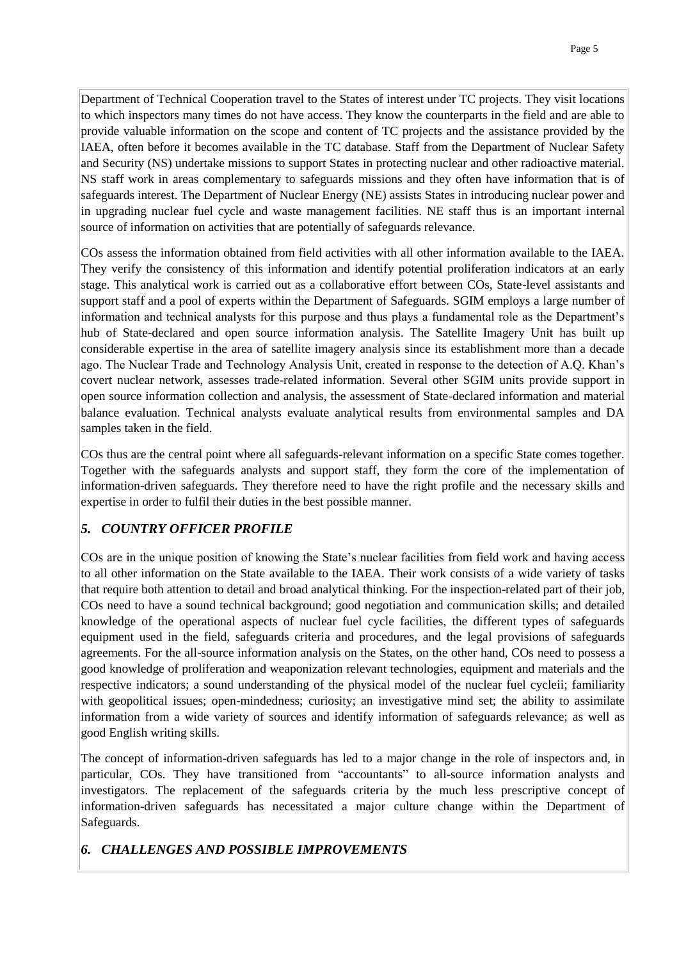Department of Technical Cooperation travel to the States of interest under TC projects. They visit locations to which inspectors many times do not have access. They know the counterparts in the field and are able to provide valuable information on the scope and content of TC projects and the assistance provided by the IAEA, often before it becomes available in the TC database. Staff from the Department of Nuclear Safety and Security (NS) undertake missions to support States in protecting nuclear and other radioactive material. NS staff work in areas complementary to safeguards missions and they often have information that is of safeguards interest. The Department of Nuclear Energy (NE) assists States in introducing nuclear power and in upgrading nuclear fuel cycle and waste management facilities. NE staff thus is an important internal source of information on activities that are potentially of safeguards relevance.

COs assess the information obtained from field activities with all other information available to the IAEA. They verify the consistency of this information and identify potential proliferation indicators at an early stage. This analytical work is carried out as a collaborative effort between COs, State-level assistants and support staff and a pool of experts within the Department of Safeguards. SGIM employs a large number of information and technical analysts for this purpose and thus plays a fundamental role as the Department's hub of State-declared and open source information analysis. The Satellite Imagery Unit has built up considerable expertise in the area of satellite imagery analysis since its establishment more than a decade ago. The Nuclear Trade and Technology Analysis Unit, created in response to the detection of A.Q. Khan's covert nuclear network, assesses trade-related information. Several other SGIM units provide support in open source information collection and analysis, the assessment of State-declared information and material balance evaluation. Technical analysts evaluate analytical results from environmental samples and DA samples taken in the field.

COs thus are the central point where all safeguards-relevant information on a specific State comes together. Together with the safeguards analysts and support staff, they form the core of the implementation of information-driven safeguards. They therefore need to have the right profile and the necessary skills and expertise in order to fulfil their duties in the best possible manner.

# *5. COUNTRY OFFICER PROFILE*

COs are in the unique position of knowing the State's nuclear facilities from field work and having access to all other information on the State available to the IAEA. Their work consists of a wide variety of tasks that require both attention to detail and broad analytical thinking. For the inspection-related part of their job, COs need to have a sound technical background; good negotiation and communication skills; and detailed knowledge of the operational aspects of nuclear fuel cycle facilities, the different types of safeguards equipment used in the field, safeguards criteria and procedures, and the legal provisions of safeguards agreements. For the all-source information analysis on the States, on the other hand, COs need to possess a good knowledge of proliferation and weaponization relevant technologies, equipment and materials and the respective indicators; a sound understanding of the physical model of the nuclear fuel cycleii; familiarity with geopolitical issues; open-mindedness; curiosity; an investigative mind set; the ability to assimilate information from a wide variety of sources and identify information of safeguards relevance; as well as good English writing skills.

The concept of information-driven safeguards has led to a major change in the role of inspectors and, in particular, COs. They have transitioned from "accountants" to all-source information analysts and investigators. The replacement of the safeguards criteria by the much less prescriptive concept of information-driven safeguards has necessitated a major culture change within the Department of Safeguards.

# *6. CHALLENGES AND POSSIBLE IMPROVEMENTS*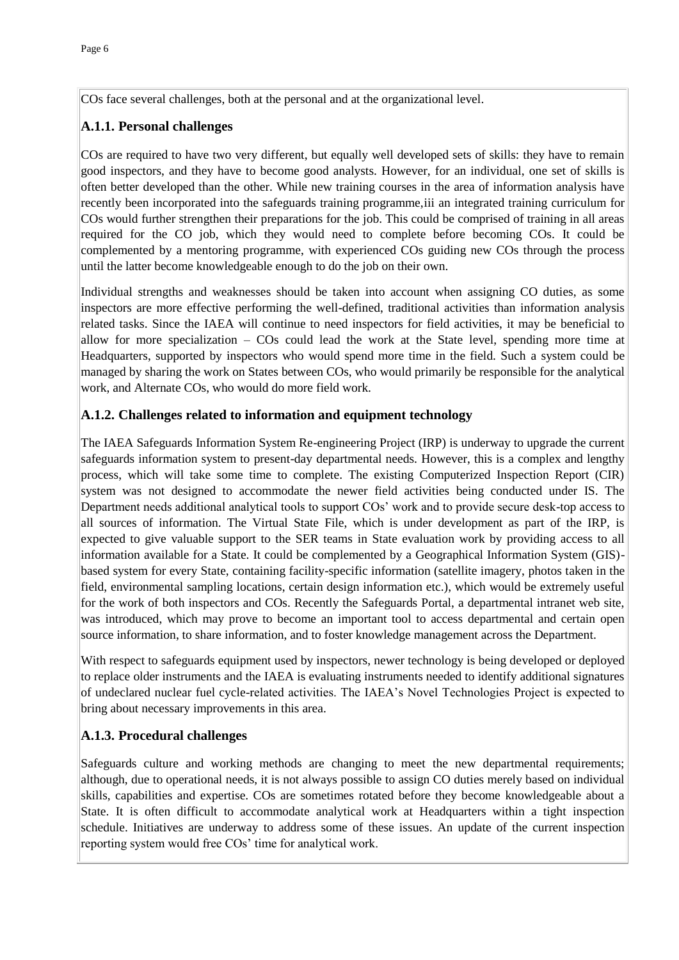COs face several challenges, both at the personal and at the organizational level.

# **A.1.1. Personal challenges**

COs are required to have two very different, but equally well developed sets of skills: they have to remain good inspectors, and they have to become good analysts. However, for an individual, one set of skills is often better developed than the other. While new training courses in the area of information analysis have recently been incorporated into the safeguards training programme,iii an integrated training curriculum for COs would further strengthen their preparations for the job. This could be comprised of training in all areas required for the CO job, which they would need to complete before becoming COs. It could be complemented by a mentoring programme, with experienced COs guiding new COs through the process until the latter become knowledgeable enough to do the job on their own.

Individual strengths and weaknesses should be taken into account when assigning CO duties, as some inspectors are more effective performing the well-defined, traditional activities than information analysis related tasks. Since the IAEA will continue to need inspectors for field activities, it may be beneficial to allow for more specialization – COs could lead the work at the State level, spending more time at Headquarters, supported by inspectors who would spend more time in the field. Such a system could be managed by sharing the work on States between COs, who would primarily be responsible for the analytical work, and Alternate COs, who would do more field work.

# **A.1.2. Challenges related to information and equipment technology**

The IAEA Safeguards Information System Re-engineering Project (IRP) is underway to upgrade the current safeguards information system to present-day departmental needs. However, this is a complex and lengthy process, which will take some time to complete. The existing Computerized Inspection Report (CIR) system was not designed to accommodate the newer field activities being conducted under IS. The Department needs additional analytical tools to support COs' work and to provide secure desk-top access to all sources of information. The Virtual State File, which is under development as part of the IRP, is expected to give valuable support to the SER teams in State evaluation work by providing access to all information available for a State. It could be complemented by a Geographical Information System (GIS) based system for every State, containing facility-specific information (satellite imagery, photos taken in the field, environmental sampling locations, certain design information etc.), which would be extremely useful for the work of both inspectors and COs. Recently the Safeguards Portal, a departmental intranet web site, was introduced, which may prove to become an important tool to access departmental and certain open source information, to share information, and to foster knowledge management across the Department.

With respect to safeguards equipment used by inspectors, newer technology is being developed or deployed to replace older instruments and the IAEA is evaluating instruments needed to identify additional signatures of undeclared nuclear fuel cycle-related activities. The IAEA's Novel Technologies Project is expected to bring about necessary improvements in this area.

# **A.1.3. Procedural challenges**

Safeguards culture and working methods are changing to meet the new departmental requirements; although, due to operational needs, it is not always possible to assign CO duties merely based on individual skills, capabilities and expertise. COs are sometimes rotated before they become knowledgeable about a State. It is often difficult to accommodate analytical work at Headquarters within a tight inspection schedule. Initiatives are underway to address some of these issues. An update of the current inspection reporting system would free COs' time for analytical work.